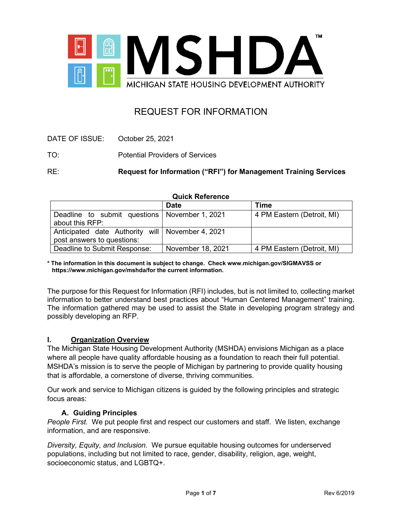

# REQUEST FOR INFORMATION

| October 25, 2021 |
|------------------|
|------------------|

TO: Potential Providers of Services

RE: **Request for Information ("RFI") for Management Training Services** 

**Quick Reference**

|                                                    | <b>Date</b>       | Time                       |
|----------------------------------------------------|-------------------|----------------------------|
| Deadline to submit questions   November 1, 2021    |                   | 4 PM Eastern (Detroit, MI) |
| about this RFP:                                    |                   |                            |
| Anticipated date Authority will   November 4, 2021 |                   |                            |
| post answers to questions:                         |                   |                            |
| Deadline to Submit Response:                       | November 18, 2021 | 4 PM Eastern (Detroit, MI) |

**\* The information in this document is subject to change. Check www.michigan.gov/SIGMAVSS or https://www.michigan.gov/mshda/for the current information.**

The purpose for this Request for Information (RFI) includes, but is not limited to, collecting market information to better understand best practices about "Human Centered Management" training. The information gathered may be used to assist the State in developing program strategy and possibly developing an RFP.

## **I. Organization Overview**

The Michigan State Housing Development Authority (MSHDA) envisions Michigan as a place where all people have quality affordable housing as a foundation to reach their full potential. MSHDA's mission is to serve the people of Michigan by partnering to provide quality housing that is affordable, a cornerstone of diverse, thriving communities.

Our work and service to Michigan citizens is guided by the following principles and strategic focus areas:

## **A. Guiding Principles**

*People First.* We put people first and respect our customers and staff. We listen, exchange information, and are responsive.

*Diversity, Equity, and Inclusion.* We pursue equitable housing outcomes for underserved populations, including but not limited to race, gender, disability, religion, age, weight, socioeconomic status, and LGBTQ+.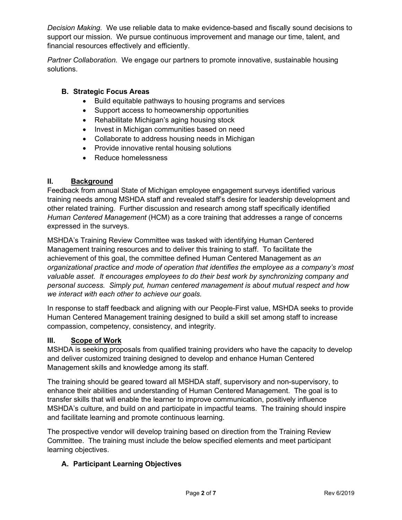*Decision Making.* We use reliable data to make evidence-based and fiscally sound decisions to support our mission. We pursue continuous improvement and manage our time, talent, and financial resources effectively and efficiently.

*Partner Collaboration.* We engage our partners to promote innovative, sustainable housing solutions.

# **B. Strategic Focus Areas**

- Build equitable pathways to housing programs and services
- Support access to homeownership opportunities
- Rehabilitate Michigan's aging housing stock
- Invest in Michigan communities based on need
- Collaborate to address housing needs in Michigan
- Provide innovative rental housing solutions
- Reduce homelessness

## **II. Background**

Feedback from annual State of Michigan employee engagement surveys identified various training needs among MSHDA staff and revealed staff's desire for leadership development and other related training. Further discussion and research among staff specifically identified *Human Centered Management* (HCM) as a core training that addresses a range of concerns expressed in the surveys.

MSHDA's Training Review Committee was tasked with identifying Human Centered Management training resources and to deliver this training to staff. To facilitate the achievement of this goal, the committee defined Human Centered Management as *an organizational practice and mode of operation that identifies the employee as a company's most valuable asset. It encourages employees to do their best work by synchronizing company and personal success. Simply put, human centered management is about mutual respect and how we interact with each other to achieve our goals.*

In response to staff feedback and aligning with our People-First value, MSHDA seeks to provide Human Centered Management training designed to build a skill set among staff to increase compassion, competency, consistency, and integrity.

## **III. Scope of Work**

MSHDA is seeking proposals from qualified training providers who have the capacity to develop and deliver customized training designed to develop and enhance Human Centered Management skills and knowledge among its staff.

The training should be geared toward all MSHDA staff, supervisory and non-supervisory, to enhance their abilities and understanding of Human Centered Management. The goal is to transfer skills that will enable the learner to improve communication, positively influence MSHDA's culture, and build on and participate in impactful teams. The training should inspire and facilitate learning and promote continuous learning.

The prospective vendor will develop training based on direction from the Training Review Committee. The training must include the below specified elements and meet participant learning objectives.

# **A. Participant Learning Objectives**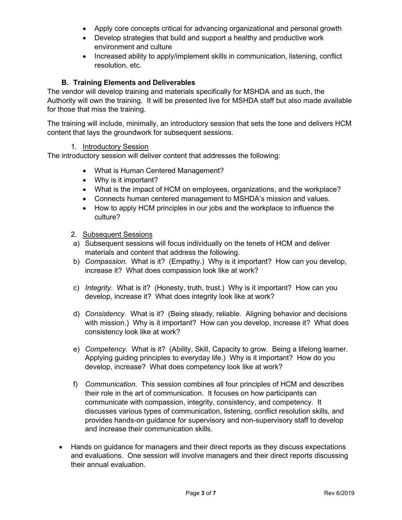- Apply core concepts critical for advancing organizational and personal growth
- Develop strategies that build and support a healthy and productive work environment and culture
- Increased ability to apply/implement skills in communication, listening, conflict resolution, etc.

# **B. Training Elements and Deliverables**

The vendor will develop training and materials specifically for MSHDA and as such, the Authority will own the training. It will be presented live for MSHDA staff but also made available for those that miss the training.

The training will include, minimally, an introductory session that sets the tone and delivers HCM content that lays the groundwork for subsequent sessions.

#### 1. Introductory Session

The introductory session will deliver content that addresses the following:

- What is Human Centered Management?
- Why is it important?
- What is the impact of HCM on employees, organizations, and the workplace?
- Connects human centered management to MSHDA's mission and values.
- How to apply HCM principles in our jobs and the workplace to influence the culture?

#### 2. Subsequent Sessions

- a) Subsequent sessions will focus individually on the tenets of HCM and deliver materials and content that address the following.
- b) *Compassion.* What is it? (Empathy.) Why is it important? How can you develop, increase it? What does compassion look like at work?
- c) *Integrity.* What is it? (Honesty, truth, trust.) Why is it important? How can you develop, increase it? What does integrity look like at work?
- d) *Consistency.* What is it? (Being steady, reliable. Aligning behavior and decisions with mission.) Why is it important? How can you develop, increase it? What does consistency look like at work?
- e) *Competency.* What is it? (Ability, Skill, Capacity to grow. Being a lifelong learner. Applying guiding principles to everyday life.) Why is it important? How do you develop, increase? What does competency look like at work?
- f) *Communication*. This session combines all four principles of HCM and describes their role in the art of communication. It focuses on how participants can communicate with compassion, integrity, consistency, and competency. It discusses various types of communication, listening, conflict resolution skills, and provides hands-on guidance for supervisory and non-supervisory staff to develop and increase their communication skills.
- Hands on quidance for managers and their direct reports as they discuss expectations and evaluations. One session will involve managers and their direct reports discussing their annual evaluation.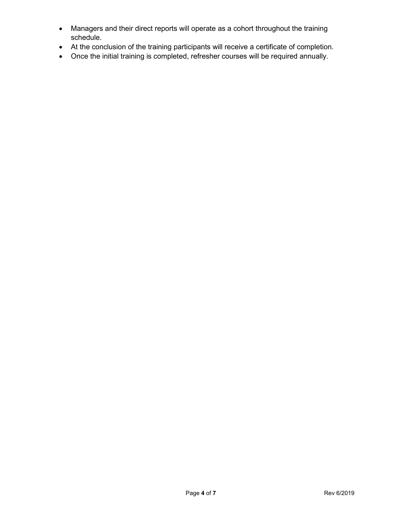- Managers and their direct reports will operate as a cohort throughout the training schedule.
- At the conclusion of the training participants will receive a certificate of completion.
- Once the initial training is completed, refresher courses will be required annually.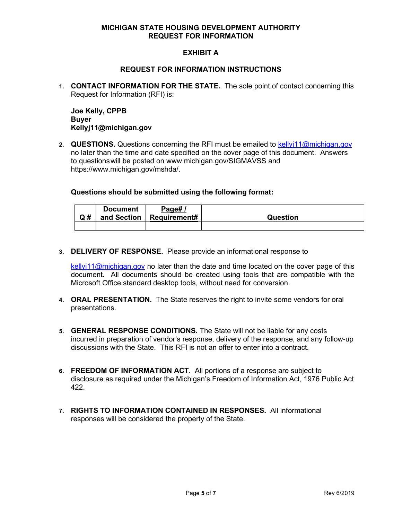#### **MICHIGAN STATE HOUSING DEVELOPMENT AUTHORITY REQUEST FOR INFORMATION**

## **EXHIBIT A**

#### **REQUEST FOR INFORMATION INSTRUCTIONS**

**1. CONTACT INFORMATION FOR THE STATE.** The sole point of contact concerning this Request for Information (RFI) is:

**Joe Kelly, CPPB Buyer Kellyj11@michigan.gov**

2. **QUESTIONS.** Questions concerning the RFI must be emailed to [kellyj11@michigan.gov](mailto:kellyj11@michigan.gov) no later than the time and date specified on the cover page of this document. Answers to questionswill be posted on www.michigan.gov/SIGMAVSS and https://www.michigan.gov/mshda/.

#### **Questions should be submitted using the following format:**

| Q# | <b>Document</b> | Page#/<br>and Section   Requirement# | Question |
|----|-----------------|--------------------------------------|----------|
|    |                 |                                      |          |

**3. DELIVERY OF RESPONSE.** Please provide an informational response to

 $k$ ellyj11@michigan.gov no later than the date and time located on the cover page of this document. All documents should be created using tools that are compatible with the Microsoft Office standard desktop tools, without need for conversion.

- **4. ORAL PRESENTATION.** The State reserves the right to invite some vendors for oral presentations.
- **5. GENERAL RESPONSE CONDITIONS.** The State will not be liable for any costs incurred in preparation of vendor's response, delivery of the response, and any follow-up discussions with the State. This RFI is not an offer to enter into a contract.
- **6. FREEDOM OF INFORMATION ACT.** All portions of a response are subject to disclosure as required under the Michigan's Freedom of Information Act, 1976 Public Act 422.
- **7. RIGHTS TO INFORMATION CONTAINED IN RESPONSES.** All informational responses will be considered the property of the State.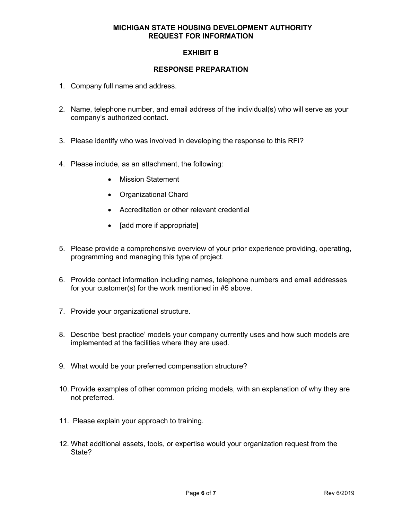#### **MICHIGAN STATE HOUSING DEVELOPMENT AUTHORITY REQUEST FOR INFORMATION**

# **EXHIBIT B**

#### **RESPONSE PREPARATION**

- 1. Company full name and address.
- 2. Name, telephone number, and email address of the individual(s) who will serve as your company's authorized contact.
- 3. Please identify who was involved in developing the response to this RFI?
- 4. Please include, as an attachment, the following:
	- Mission Statement
	- Organizational Chard
	- Accreditation or other relevant credential
	- [add more if appropriate]
- 5. Please provide a comprehensive overview of your prior experience providing, operating, programming and managing this type of project.
- 6. Provide contact information including names, telephone numbers and email addresses for your customer(s) for the work mentioned in #5 above.
- 7. Provide your organizational structure.
- 8. Describe 'best practice' models your company currently uses and how such models are implemented at the facilities where they are used.
- 9. What would be your preferred compensation structure?
- 10. Provide examples of other common pricing models, with an explanation of why they are not preferred.
- 11. Please explain your approach to training.
- 12. What additional assets, tools, or expertise would your organization request from the State?